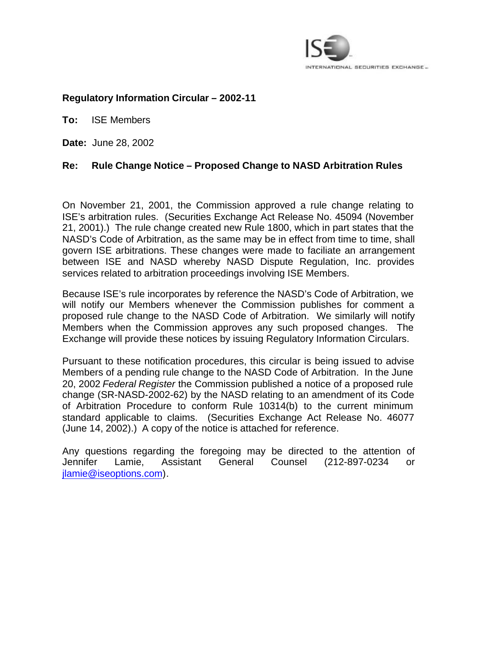

# **Regulatory Information Circular – 2002-11**

**To:** ISE Members

**Date:** June 28, 2002

# **Re: Rule Change Notice – Proposed Change to NASD Arbitration Rules**

On November 21, 2001, the Commission approved a rule change relating to ISE's arbitration rules. (Securities Exchange Act Release No. 45094 (November 21, 2001).) The rule change created new Rule 1800, which in part states that the NASD's Code of Arbitration, as the same may be in effect from time to time, shall govern ISE arbitrations. These changes were made to faciliate an arrangement between ISE and NASD whereby NASD Dispute Regulation, Inc. provides services related to arbitration proceedings involving ISE Members.

Because ISE's rule incorporates by reference the NASD's Code of Arbitration, we will notify our Members whenever the Commission publishes for comment a proposed rule change to the NASD Code of Arbitration. We similarly will notify Members when the Commission approves any such proposed changes. The Exchange will provide these notices by issuing Regulatory Information Circulars.

Pursuant to these notification procedures, this circular is being issued to advise Members of a pending rule change to the NASD Code of Arbitration. In the June 20, 2002 *Federal Register* the Commission published a notice of a proposed rule change (SR-NASD-2002-62) by the NASD relating to an amendment of its Code of Arbitration Procedure to conform Rule 10314(b) to the current minimum standard applicable to claims. (Securities Exchange Act Release No. 46077 (June 14, 2002).) A copy of the notice is attached for reference.

Any questions regarding the foregoing may be directed to the attention of Jennifer Lamie, Assistant General Counsel (212-897-0234 or jlamie@iseoptions.com).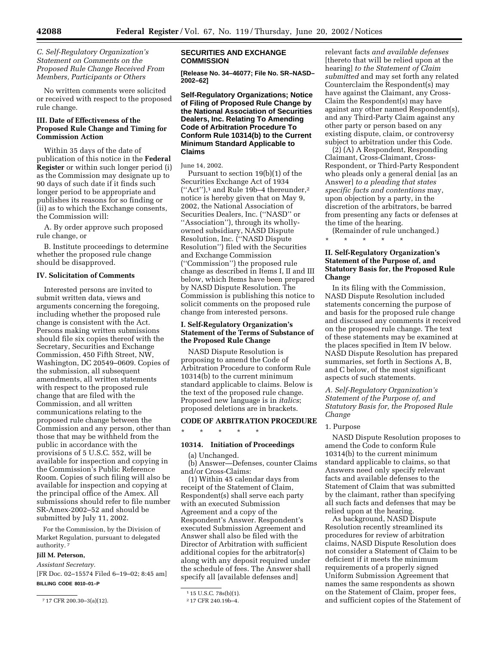## *C. Self-Regulatory Organization's Statement on Comments on the Proposed Rule Change Received From Members, Participants or Others*

No written comments were solicited or received with respect to the proposed rule change.

## **III. Date of Effectiveness of the Proposed Rule Change and Timing for Commission Action**

Within 35 days of the date of publication of this notice in the **Federal Register** or within such longer period (i) as the Commission may designate up to 90 days of such date if it finds such longer period to be appropriate and publishes its reasons for so finding or (ii) as to which the Exchange consents, the Commission will:

A. By order approve such proposed rule change, or

B. Institute proceedings to determine whether the proposed rule change should be disapproved.

#### **IV. Solicitation of Comments**

Interested persons are invited to submit written data, views and arguments concerning the foregoing, including whether the proposed rule change is consistent with the Act. Persons making written submissions should file six copies thereof with the Secretary, Securities and Exchange Commission, 450 Fifth Street, NW, Washington, DC 20549–0609. Copies of the submission, all subsequent amendments, all written statements with respect to the proposed rule change that are filed with the Commission, and all written communications relating to the proposed rule change between the Commission and any person, other than those that may be withheld from the public in accordance with the provisions of 5 U.S.C. 552, will be available for inspection and copying in the Commission's Public Reference Room. Copies of such filing will also be available for inspection and copying at the principal office of the Amex. All submissions should refer to file number SR-Amex-2002–52 and should be submitted by July 11, 2002.

For the Commission, by the Division of Market Regulation, pursuant to delegated authority. 7

## **Jill M. Peterson,**

*Assistant Secretary.*

[FR Doc. 02–15574 Filed 6–19–02; 8:45 am] **BILLING CODE 8010–01–P**

### **SECURITIES AND EXCHANGE COMMISSION**

**[Release No. 34–46077; File No. SR–NASD– 2002–62]** 

**Self-Regulatory Organizations; Notice of Filing of Proposed Rule Change by the National Association of Securities Dealers, Inc. Relating To Amending Code of Arbitration Procedure To Conform Rule 10314(b) to the Current Minimum Standard Applicable to Claims** 

#### June 14, 2002.

Pursuant to section 19(b)(1) of the Securities Exchange Act of 1934 (''Act''),1 and Rule 19b–4 thereunder,2 notice is hereby given that on May 9, 2002, the National Association of Securities Dealers, Inc. (''NASD'' or ''Association''), through its whollyowned subsidiary, NASD Dispute Resolution, Inc. (''NASD Dispute Resolution'') filed with the Securities and Exchange Commission (''Commission'') the proposed rule change as described in Items I, II and III below, which Items have been prepared by NASD Dispute Resolution. The Commission is publishing this notice to solicit comments on the proposed rule change from interested persons.

## **I. Self-Regulatory Organization's Statement of the Terms of Substance of the Proposed Rule Change**

NASD Dispute Resolution is proposing to amend the Code of Arbitration Procedure to conform Rule 10314(b) to the current minimum standard applicable to claims. Below is the text of the proposed rule change. Proposed new language is in *italics*; proposed deletions are in brackets.

## **CODE OF ARBITRATION PROCEDURE**

\* \* \* \* \*

## **10314. Initiation of Proceedings**

(a) Unchanged.

(b) Answer—Defenses, counter Claims and/or Cross-Claims:

(1) Within 45 calendar days from receipt of the Statement of Claim, Respondent(s) shall serve each party with an executed Submission Agreement and a copy of the Respondent's Answer. Respondent's executed Submission Agreement and Answer shall also be filed with the Director of Arbitration with sufficient additional copies for the arbitrator(s) along with any deposit required under the schedule of fees. The Answer shall specify all [available defenses and]

relevant facts *and available defenses* [thereto that will be relied upon at the hearing] *to the Statement of Claim submitted* and may set forth any related Counterclaim the Respondent(s) may have against the Claimant, any Cross-Claim the Respondent(s) may have against any other named Respondent(s), and any Third-Party Claim against any other party or person based on any existing dispute, claim, or controversy subject to arbitration under this Code.

(2) (A) A Respondent, Responding Claimant, Cross-Claimant, Cross-Respondent, or Third-Party Respondent who pleads only a general denial [as an Answer] *to a pleading that states specific facts and contentions* may, upon objection by a party, in the discretion of the arbitrators, be barred from presenting any facts or defenses at the time of the hearing.

(Remainder of rule unchanged.) \* \* \* \* \*

## **II. Self-Regulatory Organization's Statement of the Purpose of, and Statutory Basis for, the Proposed Rule Change**

In its filing with the Commission, NASD Dispute Resolution included statements concerning the purpose of and basis for the proposed rule change and discussed any comments it received on the proposed rule change. The text of these statements may be examined at the places specified in Item IV below. NASD Dispute Resolution has prepared summaries, set forth in Sections A, B, and C below, of the most significant aspects of such statements.

*A. Self-Regulatory Organization's Statement of the Purpose of, and Statutory Basis for, the Proposed Rule Change* 

#### 1. Purpose

NASD Dispute Resolution proposes to amend the Code to conform Rule 10314(b) to the current minimum standard applicable to claims, so that Answers need only specify relevant facts and available defenses to the Statement of Claim that was submitted by the claimant, rather than specifying all such facts and defenses that may be relied upon at the hearing.

As background, NASD Dispute Resolution recently streamlined its procedures for review of arbitration claims, NASD Dispute Resolution does not consider a Statement of Claim to be deficient if it meets the minimum requirements of a properly signed Uniform Submission Agreement that names the same respondents as shown on the Statement of Claim, proper fees, and sufficient copies of the Statement of

<sup>7</sup> 17 CFR 200.30–3(a)(12).

<sup>1</sup> 15 U.S.C. 78s(b)(1).

<sup>2</sup> 17 CFR 240.19b–4.